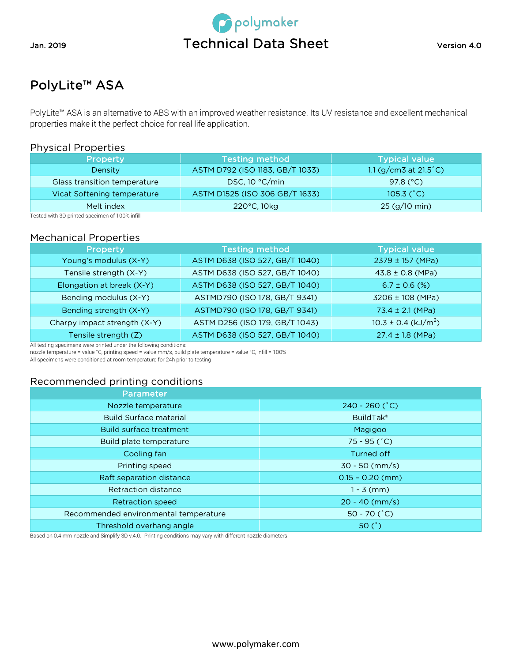



# PolyLite™ ASA

PolyLite™ ASA is an alternative to ABS with an improved weather resistance. Its UV resistance and excellent mechanical properties make it the perfect choice for real life application.

# Physical Properties

| <b>Property</b>              | <b>Testing method</b>           | <b>Typical value</b>       |
|------------------------------|---------------------------------|----------------------------|
| Density                      | ASTM D792 (ISO 1183, GB/T 1033) | 1.1 $(g/cm3$ at 21.5 $°C)$ |
| Glass transition temperature | DSC, $10 °C/min$                | 97.8 $(^{\circ}C)$         |
| Vicat Softening temperature  | ASTM D1525 (ISO 306 GB/T 1633)  | 105.3 $(^{\circ}C)$        |
| Melt index                   | $220^{\circ}$ C, 10 $kg$        | 25 (g/10 min)              |

Tested with 3D printed specimen of 100% infill

# Mechanical Properties

| Property                     | <b>Testing method</b>          | <b>Typical value</b>                |
|------------------------------|--------------------------------|-------------------------------------|
| Young's modulus (X-Y)        | ASTM D638 (ISO 527, GB/T 1040) | 2379 ± 157 (MPa)                    |
| Tensile strength (X-Y)       | ASTM D638 (ISO 527, GB/T 1040) | $43.8 \pm 0.8$ (MPa)                |
| Elongation at break (X-Y)    | ASTM D638 (ISO 527, GB/T 1040) | $6.7 \pm 0.6$ (%)                   |
| Bending modulus (X-Y)        | ASTMD790 (ISO 178, GB/T 9341)  | 3206 ± 108 (MPa)                    |
| Bending strength (X-Y)       | ASTMD790 (ISO 178, GB/T 9341)  | 73.4 ± 2.1 (MPa)                    |
| Charpy impact strength (X-Y) | ASTM D256 (ISO 179, GB/T 1043) | $10.3 \pm 0.4$ (kJ/m <sup>2</sup> ) |
| Tensile strength (Z)         | ASTM D638 (ISO 527, GB/T 1040) | $27.4 \pm 1.8$ (MPa)                |

All testing specimens were printed under the following conditions:

nozzle temperature = value °C, printing speed = value mm/s, build plate temperature = value °C, infill = 100%

All specimens were conditioned at room temperature for 24h prior to testing

# Recommended printing conditions

| Parameter                             |                             |
|---------------------------------------|-----------------------------|
| Nozzle temperature                    | $240 - 260$ ( $^{\circ}$ C) |
| <b>Build Surface material</b>         | <b>BuildTak®</b>            |
| <b>Build surface treatment</b>        | Magigoo                     |
| Build plate temperature               | $75 - 95 (°C)$              |
| Cooling fan                           | Turned off                  |
| Printing speed                        | $30 - 50$ (mm/s)            |
| Raft separation distance              | $0.15 - 0.20$ (mm)          |
| Retraction distance                   | $1 - 3$ (mm)                |
| <b>Retraction speed</b>               | $20 - 40$ (mm/s)            |
| Recommended environmental temperature | 50 - 70 $(^{\circ}C)$       |
| Threshold overhang angle              | 50 $(^{\circ})$             |

Based on 0.4 mm nozzle and Simplify 3D v.4.0. Printing conditions may vary with different nozzle diameters